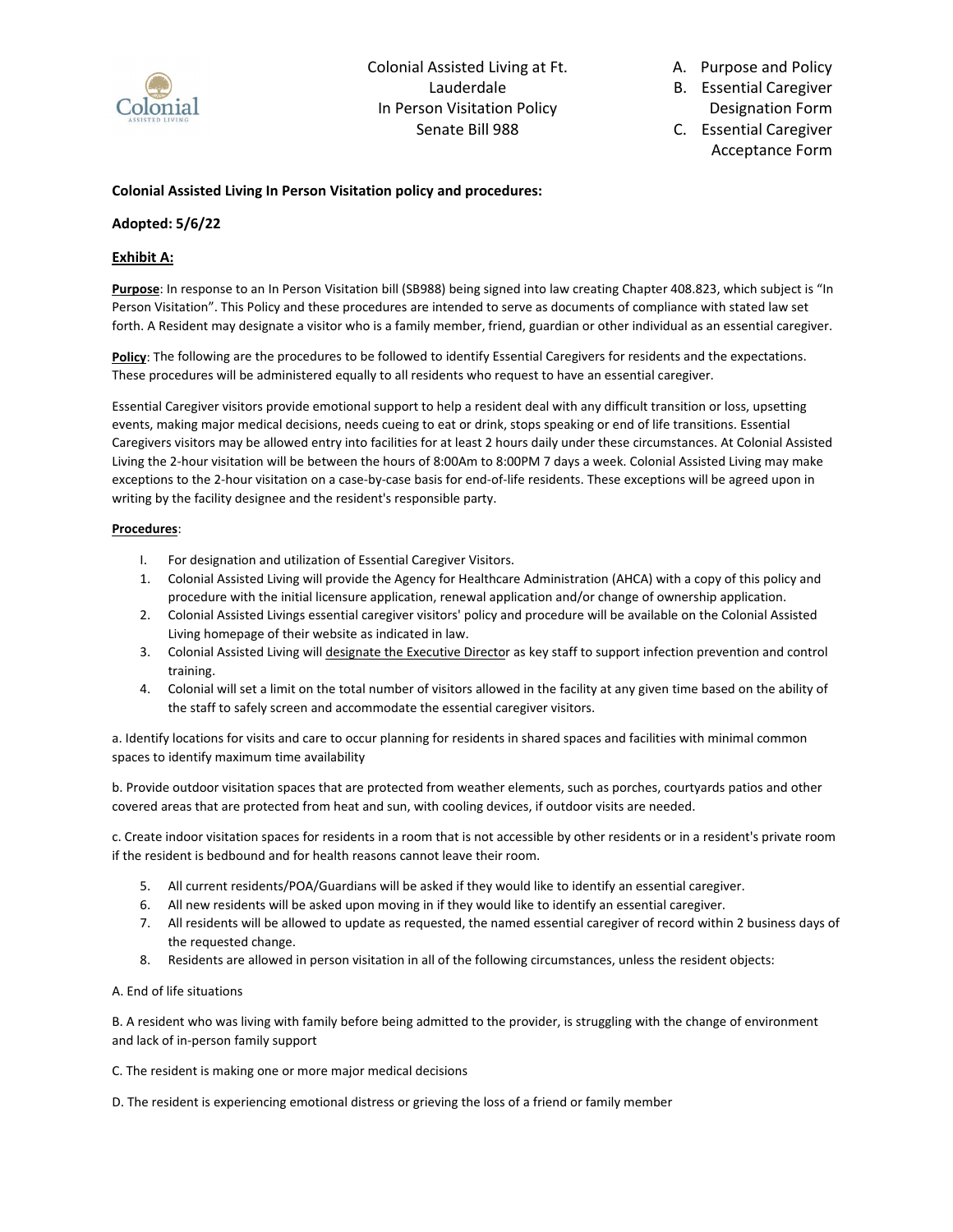

A. Purpose and Policy

B. Essential Caregiver Designation Form

C. Essential Caregiver Acceptance Form

## **Colonial Assisted Living In Person Visitation policy and procedures:**

## **Adopted: 5/6/22**

# **Exhibit A:**

**Purpose**: In response to an In Person Visitation bill (SB988) being signed into law creating Chapter 408.823, which subject is "In Person Visitation". This Policy and these procedures are intended to serve as documents of compliance with stated law set forth. A Resident may designate a visitor who is a family member, friend, guardian or other individual as an essential caregiver.

**Policy**: The following are the procedures to be followed to identify Essential Caregivers for residents and the expectations. These procedures will be administered equally to all residents who request to have an essential caregiver.

Essential Caregiver visitors provide emotional support to help a resident deal with any difficult transition or loss, upsetting events, making major medical decisions, needs cueing to eat or drink, stops speaking or end of life transitions. Essential Caregivers visitors may be allowed entry into facilities for at least 2 hours daily under these circumstances. At Colonial Assisted Living the 2-hour visitation will be between the hours of 8:00Am to 8:00PM 7 days a week. Colonial Assisted Living may make exceptions to the 2-hour visitation on a case-by-case basis for end-of-life residents. These exceptions will be agreed upon in writing by the facility designee and the resident's responsible party.

#### **Procedures**:

- I. For designation and utilization of Essential Caregiver Visitors.
- 1. Colonial Assisted Living will provide the Agency for Healthcare Administration (AHCA) with a copy of this policy and procedure with the initial licensure application, renewal application and/or change of ownership application.
- 2. Colonial Assisted Livings essential caregiver visitors' policy and procedure will be available on the Colonial Assisted Living homepage of their website as indicated in law.
- 3. Colonial Assisted Living will designate the Executive Director as key staff to support infection prevention and control training.
- 4. Colonial will set a limit on the total number of visitors allowed in the facility at any given time based on the ability of the staff to safely screen and accommodate the essential caregiver visitors.

a. Identify locations for visits and care to occur planning for residents in shared spaces and facilities with minimal common spaces to identify maximum time availability

b. Provide outdoor visitation spaces that are protected from weather elements, such as porches, courtyards patios and other covered areas that are protected from heat and sun, with cooling devices, if outdoor visits are needed.

c. Create indoor visitation spaces for residents in a room that is not accessible by other residents or in a resident's private room if the resident is bedbound and for health reasons cannot leave their room.

- 5. All current residents/POA/Guardians will be asked if they would like to identify an essential caregiver.
- 6. All new residents will be asked upon moving in if they would like to identify an essential caregiver.
- 7. All residents will be allowed to update as requested, the named essential caregiver of record within 2 business days of the requested change.
- 8. Residents are allowed in person visitation in all of the following circumstances, unless the resident objects:

#### A. End of life situations

B. A resident who was living with family before being admitted to the provider, is struggling with the change of environment and lack of in-person family support

C. The resident is making one or more major medical decisions

D. The resident is experiencing emotional distress or grieving the loss of a friend or family member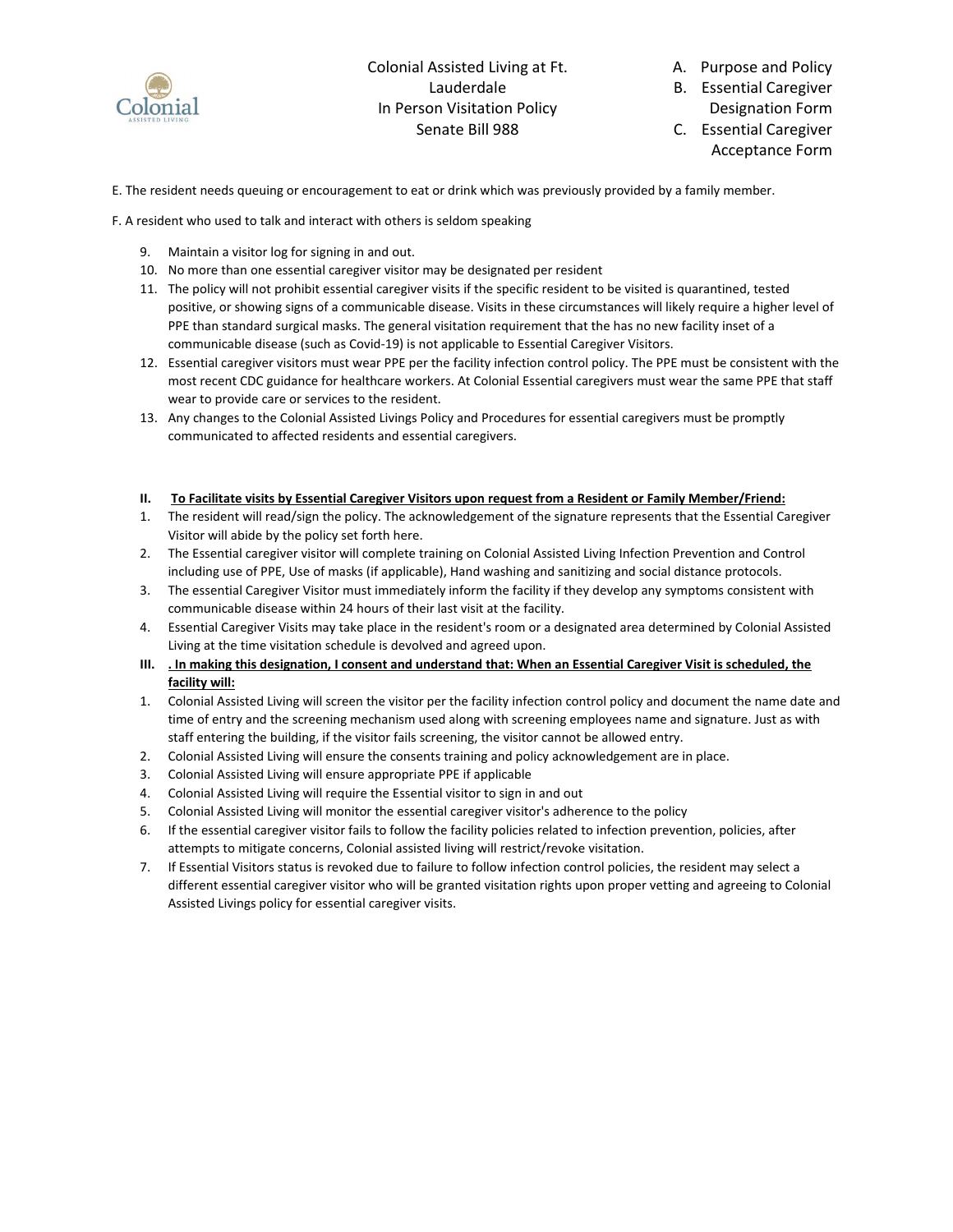

A. Purpose and Policy

B. Essential Caregiver Designation Form

C. Essential Caregiver Acceptance Form

E. The resident needs queuing or encouragement to eat or drink which was previously provided by a family member.

F. A resident who used to talk and interact with others is seldom speaking

- 9. Maintain a visitor log for signing in and out.
- 10. No more than one essential caregiver visitor may be designated per resident
- 11. The policy will not prohibit essential caregiver visits if the specific resident to be visited is quarantined, tested positive, or showing signs of a communicable disease. Visits in these circumstances will likely require a higher level of PPE than standard surgical masks. The general visitation requirement that the has no new facility inset of a communicable disease (such as Covid-19) is not applicable to Essential Caregiver Visitors.
- 12. Essential caregiver visitors must wear PPE per the facility infection control policy. The PPE must be consistent with the most recent CDC guidance for healthcare workers. At Colonial Essential caregivers must wear the same PPE that staff wear to provide care or services to the resident.
- 13. Any changes to the Colonial Assisted Livings Policy and Procedures for essential caregivers must be promptly communicated to affected residents and essential caregivers.

#### **II. To Facilitate visits by Essential Caregiver Visitors upon request from a Resident or Family Member/Friend:**

- 1. The resident will read/sign the policy. The acknowledgement of the signature represents that the Essential Caregiver Visitor will abide by the policy set forth here.
- 2. The Essential caregiver visitor will complete training on Colonial Assisted Living Infection Prevention and Control including use of PPE, Use of masks (if applicable), Hand washing and sanitizing and social distance protocols.
- 3. The essential Caregiver Visitor must immediately inform the facility if they develop any symptoms consistent with communicable disease within 24 hours of their last visit at the facility.
- 4. Essential Caregiver Visits may take place in the resident's room or a designated area determined by Colonial Assisted Living at the time visitation schedule is devolved and agreed upon.
- **III. . In making this designation, I consent and understand that: When an Essential Caregiver Visit is scheduled, the facility will:**
- 1. Colonial Assisted Living will screen the visitor per the facility infection control policy and document the name date and time of entry and the screening mechanism used along with screening employees name and signature. Just as with staff entering the building, if the visitor fails screening, the visitor cannot be allowed entry.
- 2. Colonial Assisted Living will ensure the consents training and policy acknowledgement are in place.
- 3. Colonial Assisted Living will ensure appropriate PPE if applicable
- 4. Colonial Assisted Living will require the Essential visitor to sign in and out
- 5. Colonial Assisted Living will monitor the essential caregiver visitor's adherence to the policy
- 6. If the essential caregiver visitor fails to follow the facility policies related to infection prevention, policies, after attempts to mitigate concerns, Colonial assisted living will restrict/revoke visitation.
- 7. If Essential Visitors status is revoked due to failure to follow infection control policies, the resident may select a different essential caregiver visitor who will be granted visitation rights upon proper vetting and agreeing to Colonial Assisted Livings policy for essential caregiver visits.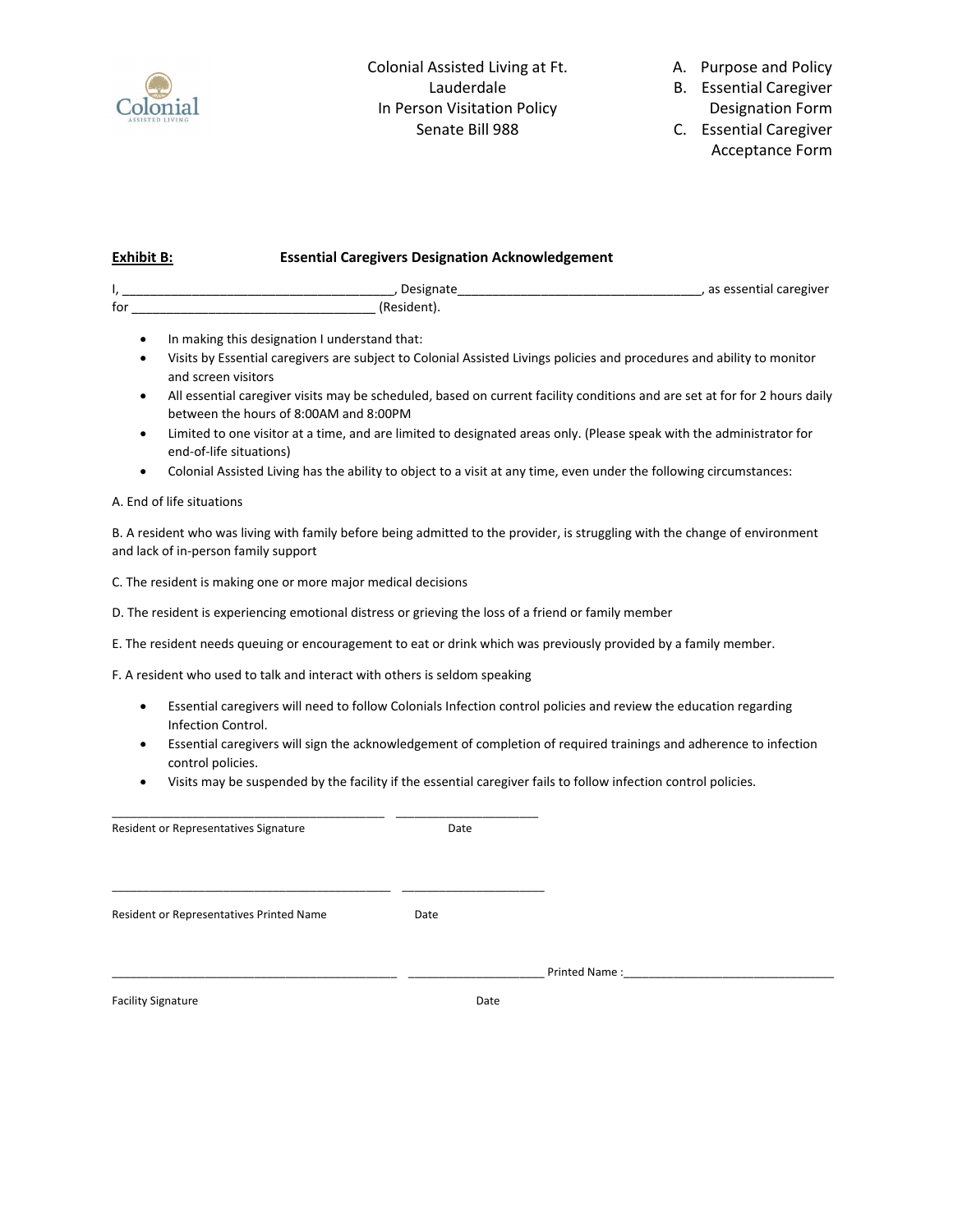

A. Purpose and Policy

B. Essential Caregiver Designation Form

C. Essential Caregiver Acceptance Form

# **Exhibit B: Essential Caregivers Designation Acknowledgement**

| tor |  |
|-----|--|

- In making this designation I understand that:
- Visits by Essential caregivers are subject to Colonial Assisted Livings policies and procedures and ability to monitor and screen visitors
- All essential caregiver visits may be scheduled, based on current facility conditions and are set at for for 2 hours daily between the hours of 8:00AM and 8:00PM
- Limited to one visitor at a time, and are limited to designated areas only. (Please speak with the administrator for end-of-life situations)
- Colonial Assisted Living has the ability to object to a visit at any time, even under the following circumstances:

# A. End of life situations

B. A resident who was living with family before being admitted to the provider, is struggling with the change of environment and lack of in-person family support

C. The resident is making one or more major medical decisions

- D. The resident is experiencing emotional distress or grieving the loss of a friend or family member
- E. The resident needs queuing or encouragement to eat or drink which was previously provided by a family member.

F. A resident who used to talk and interact with others is seldom speaking

- Essential caregivers will need to follow Colonials Infection control policies and review the education regarding Infection Control.
- Essential caregivers will sign the acknowledgement of completion of required trainings and adherence to infection control policies.
- Visits may be suspended by the facility if the essential caregiver fails to follow infection control policies.

| Date |               |      |
|------|---------------|------|
| Date |               |      |
|      | Printed Name: |      |
|      |               | Date |